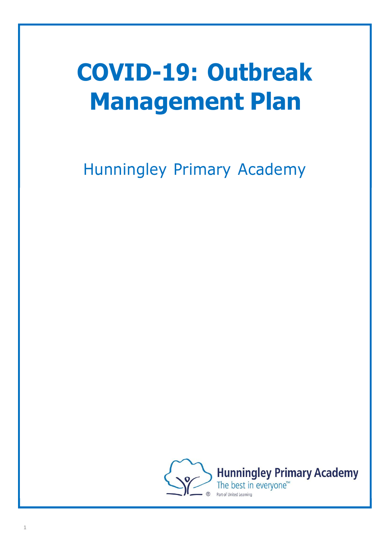# **COVID-19: Outbreak Management Plan**

Hunningley Primary Academy

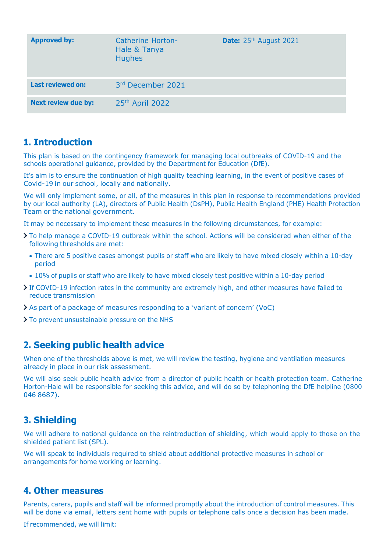| <b>Approved by:</b>        | Catherine Horton-<br>Hale & Tanya<br><b>Hughes</b> | Date: 25th August 2021 |
|----------------------------|----------------------------------------------------|------------------------|
| <b>Last reviewed on:</b>   | 3rd December 2021                                  |                        |
| <b>Next review due by:</b> | 25th April 2022                                    |                        |

## **1. Introduction**

This plan is based on the [contingency](https://www.gov.uk/government/publications/coronavirus-covid-19-local-restrictions-in-education-and-childcare-settings) framework for managing local outbreaks of COVID-19 and the schools [operational](https://www.gov.uk/government/publications/actions-for-schools-during-the-coronavirus-outbreak) guidance, provided by the Department for Education (DfE).

It's aim is to ensure the continuation of high quality teaching learning, in the event of positive cases of Covid-19 in our school, locally and nationally.

We will only implement some, or all, of the measures in this plan in response to recommendations provided by our local authority (LA), directors of Public Health (DsPH), Public Health England (PHE) Health Protection Team or the national government.

It may be necessary to implement these measures in the following circumstances, for example:

- To help manage a COVID-19 outbreak within the school. Actions will be considered when either of the following thresholds are met:
	- There are 5 positive cases amongst pupils or staff who are likely to have mixed closely within a 10-day period
- 10% of pupils or staff who are likely to have mixed closely test positive within a 10-day period
- If COVID-19 infection rates in the community are extremely high, and other measures have failed to reduce transmission
- As part of a package of measures responding to a 'variant of concern' (VoC)
- > To prevent unsustainable pressure on the NHS

## **2. Seeking public health advice**

When one of the thresholds above is met, we will review the testing, hygiene and ventilation measures already in place in our risk assessment.

We will also seek public health advice from a director of public health or health protection team. Catherine Horton-Hale will be responsible for seeking this advice, and will do so by telephoning the DfE helpline (0800 046 8687).

## **3. Shielding**

We will adhere to national guidance on the reintroduction of shielding, which would apply to those on the [shielded](https://digital.nhs.uk/coronavirus/shielded-patient-list) patient list (SPL).

We will speak to individuals required to shield about additional protective measures in school or arrangements for home working or learning.

#### **4. Other measures**

Parents, carers, pupils and staff will be informed promptly about the introduction of control measures. This will be done via email, letters sent home with pupils or telephone calls once a decision has been made.

If recommended, we will limit: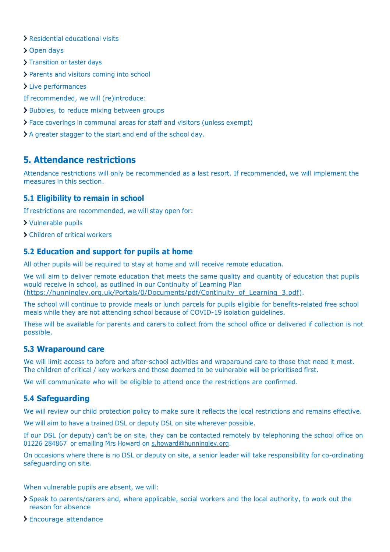- Residential educational visits
- > Open days
- > Transition or taster days
- > Parents and visitors coming into school
- > Live performances
- If recommended, we will (re)introduce:
- > Bubbles, to reduce mixing between groups
- Face coverings in communal areas for staff and visitors (unless exempt)
- A greater stagger to the start and end of the school day.

# **5. Attendance restrictions**

Attendance restrictions will only be recommended as a last resort. If recommended, we will implement the measures in this section.

#### **5.1 Eligibility to remain in school**

If restrictions are recommended, we will stay open for:

- Vulnerable pupils
- Children of critical workers

#### **5.2 Education and support for pupils at home**

All other pupils will be required to stay at home and will receive remote education.

We will aim to deliver remote education that meets the same quality and quantity of education that pupils would receive in school, as outlined in our Continuity of Learning Plan [\(https://hunningley.org.uk/Portals/0/Documents/pdf/Continuity\\_of\\_Learning\\_3.pdf\)](https://hunningley.org.uk/Portals/0/Documents/pdf/Continuity_of_Learning_3.pdf).

The school will continue to provide meals or lunch parcels for pupils eligible for benefits-related free school meals while they are not attending school because of COVID-19 isolation guidelines.

These will be available for parents and carers to collect from the school office or delivered if collection is not possible.

#### **5.3 Wraparound care**

We will limit access to before and after-school activities and wraparound care to those that need it most. The children of critical / key workers and those deemed to be vulnerable will be prioritised first.

We will communicate who will be eligible to attend once the restrictions are confirmed.

#### **5.4 Safeguarding**

We will review our child protection policy to make sure it reflects the local restrictions and remains effective.

We will aim to have a trained DSL or deputy DSL on site wherever possible.

If our DSL (or deputy) can't be on site, they can be contacted remotely by telephoning the school office on 01226 284867 or emailing Mrs Howard on [s.howard@hunningley.org.](mailto:s.howard@hunningley.org)

On occasions where there is no DSL or deputy on site, a senior leader will take responsibility for co-ordinating safeguarding on site.

#### When vulnerable pupils are absent, we will:

- Speak to parents/carers and, where applicable, social workers and the local authority, to work out the reason for absence
- Encourage attendance